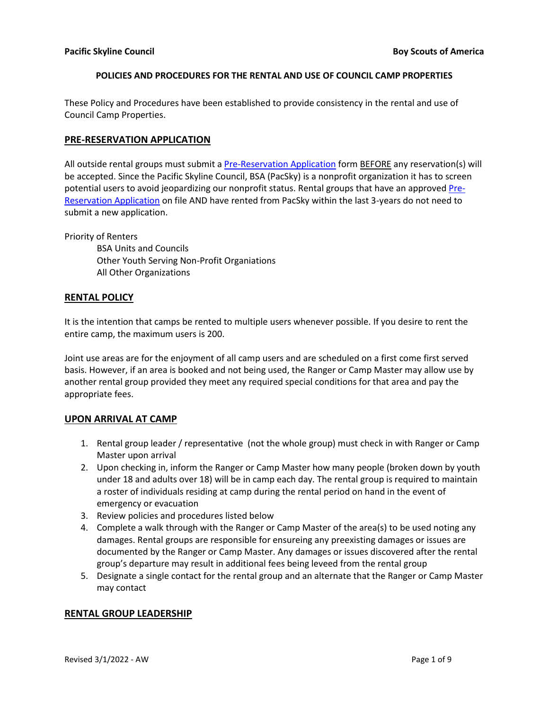These Policy and Procedures have been established to provide consistency in the rental and use of Council Camp Properties.

# **PRE-RESERVATION APPLICATION**

All outside rental groups must submit a [Pre-Reservation Application](https://docs.google.com/forms/d/e/1FAIpQLSc1DVnOB4IdCKZkKEsiSLseuv7Yq_5MZvtPpOBBeFTGuTWH4A/viewform) form BEFORE any reservation(s) will be accepted. Since the Pacific Skyline Council, BSA (PacSky) is a nonprofit organization it has to screen potential users to avoid jeopardizing our nonprofit status. Rental groups that have an approve[d Pre-](https://docs.google.com/forms/d/e/1FAIpQLSc1DVnOB4IdCKZkKEsiSLseuv7Yq_5MZvtPpOBBeFTGuTWH4A/viewform)[Reservation Application](https://docs.google.com/forms/d/e/1FAIpQLSc1DVnOB4IdCKZkKEsiSLseuv7Yq_5MZvtPpOBBeFTGuTWH4A/viewform) on file AND have rented from PacSky within the last 3-years do not need to submit a new application.

Priority of Renters

BSA Units and Councils Other Youth Serving Non-Profit Organiations All Other Organizations

# **RENTAL POLICY**

It is the intention that camps be rented to multiple users whenever possible. If you desire to rent the entire camp, the maximum users is 200.

Joint use areas are for the enjoyment of all camp users and are scheduled on a first come first served basis. However, if an area is booked and not being used, the Ranger or Camp Master may allow use by another rental group provided they meet any required special conditions for that area and pay the appropriate fees.

# **UPON ARRIVAL AT CAMP**

- 1. Rental group leader / representative (not the whole group) must check in with Ranger or Camp Master upon arrival
- 2. Upon checking in, inform the Ranger or Camp Master how many people (broken down by youth under 18 and adults over 18) will be in camp each day. The rental group is required to maintain a roster of individuals residing at camp during the rental period on hand in the event of emergency or evacuation
- 3. Review policies and procedures listed below
- 4. Complete a walk through with the Ranger or Camp Master of the area(s) to be used noting any damages. Rental groups are responsible for ensureing any preexisting damages or issues are documented by the Ranger or Camp Master. Any damages or issues discovered after the rental group's departure may result in additional fees being leveed from the rental group
- 5. Designate a single contact for the rental group and an alternate that the Ranger or Camp Master may contact

# **RENTAL GROUP LEADERSHIP**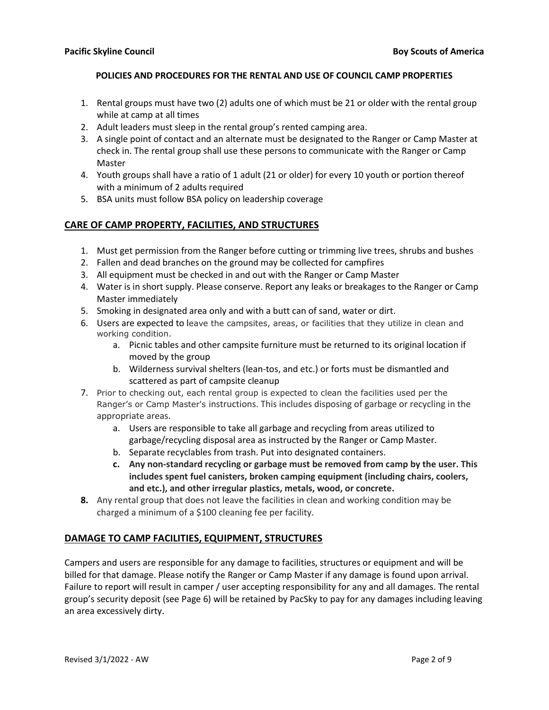- 1. Rental groups must have two (2) adults one of which must be 21 or older with the rental group while at camp at all times
- 2. Adult leaders must sleep in the rental group's rented camping area.
- 3. A single point of contact and an alternate must be designated to the Ranger or Camp Master at check in. The rental group shall use these persons to communicate with the Ranger or Camp Master
- 4. Youth groups shall have a ratio of 1 adult (21 or older) for every 10 youth or portion thereof with a minimum of 2 adults required
- 5. BSA units must follow BSA policy on leadership coverage

# **CARE OF CAMP PROPERTY, FACILITIES, AND STRUCTURES**

- 1. Must get permission from the Ranger before cutting or trimming live trees, shrubs and bushes
- 2. Fallen and dead branches on the ground may be collected for campfires
- 3. All equipment must be checked in and out with the Ranger or Camp Master
- 4. Water is in short supply. Please conserve. Report any leaks or breakages to the Ranger or Camp Master immediately
- 5. Smoking in designated area only and with a butt can of sand, water or dirt.
- 6. Users are expected to leave the campsites, areas, or facilities that they utilize in clean and working condition.
	- a. Picnic tables and other campsite furniture must be returned to its original location if moved by the group
	- b. Wilderness survival shelters (lean-tos, and etc.) or forts must be dismantled and scattered as part of campsite cleanup
- 7. Prior to checking out, each rental group is expected to clean the facilities used per the Ranger's or Camp Master's instructions. This includes disposing of garbage or recycling in the appropriate areas.
	- a. Users are responsible to take all garbage and recycling from areas utilized to garbage/recycling disposal area as instructed by the Ranger or Camp Master.
	- b. Separate recyclables from trash. Put into designated containers.
	- **c. Any non-standard recycling or garbage must be removed from camp by the user. This includes spent fuel canisters, broken camping equipment (including chairs, coolers, and etc.), and other irregular plastics, metals, wood, or concrete.**
- **8.** Any rental group that does not leave the facilities in clean and working condition may be charged a minimum of a \$100 cleaning fee per facility.

# **DAMAGE TO CAMP FACILITIES, EQUIPMENT, STRUCTURES**

Campers and users are responsible for any damage to facilities, structures or equipment and will be billed for that damage. Please notify the Ranger or Camp Master if any damage is found upon arrival. Failure to report will result in camper / user accepting responsibility for any and all damages. The rental group's security deposit (see Page 6) will be retained by PacSky to pay for any damages including leaving an area excessively dirty.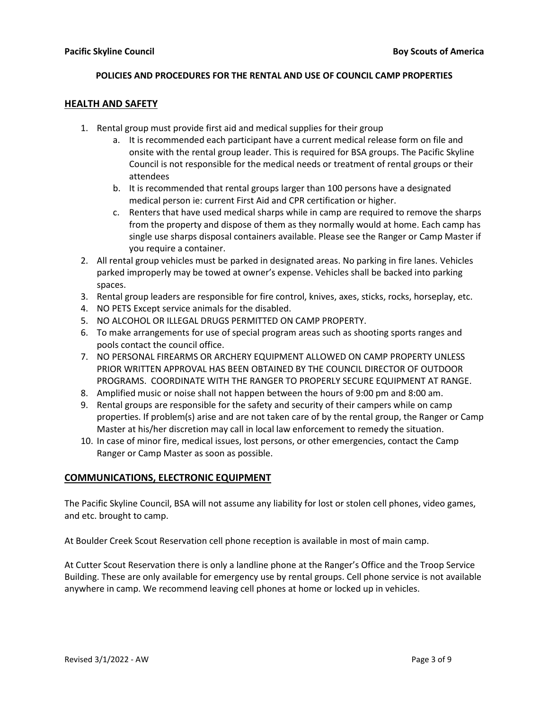#### **HEALTH AND SAFETY**

- 1. Rental group must provide first aid and medical supplies for their group
	- a. It is recommended each participant have a current medical release form on file and onsite with the rental group leader. This is required for BSA groups. The Pacific Skyline Council is not responsible for the medical needs or treatment of rental groups or their attendees
	- b. It is recommended that rental groups larger than 100 persons have a designated medical person ie: current First Aid and CPR certification or higher.
	- c. Renters that have used medical sharps while in camp are required to remove the sharps from the property and dispose of them as they normally would at home. Each camp has single use sharps disposal containers available. Please see the Ranger or Camp Master if you require a container.
- 2. All rental group vehicles must be parked in designated areas. No parking in fire lanes. Vehicles parked improperly may be towed at owner's expense. Vehicles shall be backed into parking spaces.
- 3. Rental group leaders are responsible for fire control, knives, axes, sticks, rocks, horseplay, etc.
- 4. NO PETS Except service animals for the disabled.
- 5. NO ALCOHOL OR ILLEGAL DRUGS PERMITTED ON CAMP PROPERTY.
- 6. To make arrangements for use of special program areas such as shooting sports ranges and pools contact the council office.
- 7. NO PERSONAL FIREARMS OR ARCHERY EQUIPMENT ALLOWED ON CAMP PROPERTY UNLESS PRIOR WRITTEN APPROVAL HAS BEEN OBTAINED BY THE COUNCIL DIRECTOR OF OUTDOOR PROGRAMS. COORDINATE WITH THE RANGER TO PROPERLY SECURE EQUIPMENT AT RANGE.
- 8. Amplified music or noise shall not happen between the hours of 9:00 pm and 8:00 am.
- 9. Rental groups are responsible for the safety and security of their campers while on camp properties. If problem(s) arise and are not taken care of by the rental group, the Ranger or Camp Master at his/her discretion may call in local law enforcement to remedy the situation.
- 10. In case of minor fire, medical issues, lost persons, or other emergencies, contact the Camp Ranger or Camp Master as soon as possible.

# **COMMUNICATIONS, ELECTRONIC EQUIPMENT**

The Pacific Skyline Council, BSA will not assume any liability for lost or stolen cell phones, video games, and etc. brought to camp.

At Boulder Creek Scout Reservation cell phone reception is available in most of main camp.

At Cutter Scout Reservation there is only a landline phone at the Ranger's Office and the Troop Service Building. These are only available for emergency use by rental groups. Cell phone service is not available anywhere in camp. We recommend leaving cell phones at home or locked up in vehicles.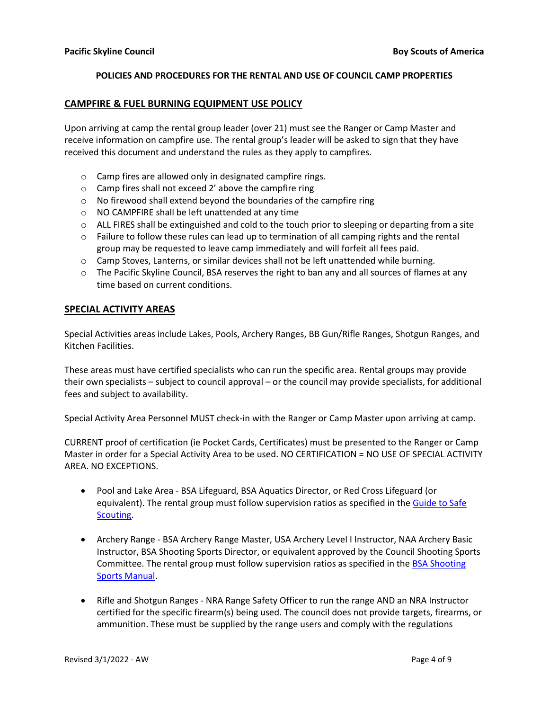#### **CAMPFIRE & FUEL BURNING EQUIPMENT USE POLICY**

Upon arriving at camp the rental group leader (over 21) must see the Ranger or Camp Master and receive information on campfire use. The rental group's leader will be asked to sign that they have received this document and understand the rules as they apply to campfires.

- o Camp fires are allowed only in designated campfire rings.
- o Camp fires shall not exceed 2' above the campfire ring
- o No firewood shall extend beyond the boundaries of the campfire ring
- o NO CAMPFIRE shall be left unattended at any time
- $\circ$  ALL FIRES shall be extinguished and cold to the touch prior to sleeping or departing from a site
- $\circ$  Failure to follow these rules can lead up to termination of all camping rights and the rental group may be requested to leave camp immediately and will forfeit all fees paid.
- o Camp Stoves, Lanterns, or similar devices shall not be left unattended while burning.
- $\circ$  The Pacific Skyline Council, BSA reserves the right to ban any and all sources of flames at any time based on current conditions.

#### **SPECIAL ACTIVITY AREAS**

Special Activities areas include Lakes, Pools, Archery Ranges, BB Gun/Rifle Ranges, Shotgun Ranges, and Kitchen Facilities.

These areas must have certified specialists who can run the specific area. Rental groups may provide their own specialists – subject to council approval – or the council may provide specialists, for additional fees and subject to availability.

Special Activity Area Personnel MUST check-in with the Ranger or Camp Master upon arriving at camp.

CURRENT proof of certification (ie Pocket Cards, Certificates) must be presented to the Ranger or Camp Master in order for a Special Activity Area to be used. NO CERTIFICATION = NO USE OF SPECIAL ACTIVITY AREA. NO EXCEPTIONS.

- Pool and Lake Area BSA Lifeguard, BSA Aquatics Director, or Red Cross Lifeguard (or equivalent). The rental group must follow supervision ratios as specified in the Guide to Safe [Scouting.](https://www.scouting.org/health-and-safety/gss/toc/)
- Archery Range BSA Archery Range Master, USA Archery Level I Instructor, NAA Archery Basic Instructor, BSA Shooting Sports Director, or equivalent approved by the Council Shooting Sports Committee. The rental group must follow supervision ratios as specified in the [BSA Shooting](https://www.scouting.org/wp-content/uploads/2022/02/Shooting-SportsManual_02.11.22.pdf)  [Sports Manual.](https://www.scouting.org/wp-content/uploads/2022/02/Shooting-SportsManual_02.11.22.pdf)
- Rifle and Shotgun Ranges NRA Range Safety Officer to run the range AND an NRA Instructor certified for the specific firearm(s) being used. The council does not provide targets, firearms, or ammunition. These must be supplied by the range users and comply with the regulations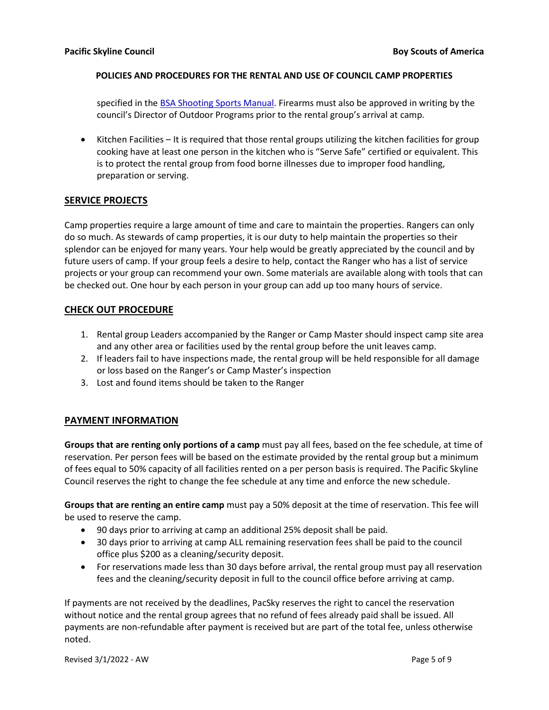specified in the **BSA Shooting Sports Manual**. Firearms must also be approved in writing by the council's Director of Outdoor Programs prior to the rental group's arrival at camp.

• Kitchen Facilities – It is required that those rental groups utilizing the kitchen facilities for group cooking have at least one person in the kitchen who is "Serve Safe" certified or equivalent. This is to protect the rental group from food borne illnesses due to improper food handling, preparation or serving.

# **SERVICE PROJECTS**

Camp properties require a large amount of time and care to maintain the properties. Rangers can only do so much. As stewards of camp properties, it is our duty to help maintain the properties so their splendor can be enjoyed for many years. Your help would be greatly appreciated by the council and by future users of camp. If your group feels a desire to help, contact the Ranger who has a list of service projects or your group can recommend your own. Some materials are available along with tools that can be checked out. One hour by each person in your group can add up too many hours of service.

# **CHECK OUT PROCEDURE**

- 1. Rental group Leaders accompanied by the Ranger or Camp Master should inspect camp site area and any other area or facilities used by the rental group before the unit leaves camp.
- 2. If leaders fail to have inspections made, the rental group will be held responsible for all damage or loss based on the Ranger's or Camp Master's inspection
- 3. Lost and found items should be taken to the Ranger

# **PAYMENT INFORMATION**

**Groups that are renting only portions of a camp** must pay all fees, based on the fee schedule, at time of reservation. Per person fees will be based on the estimate provided by the rental group but a minimum of fees equal to 50% capacity of all facilities rented on a per person basis is required. The Pacific Skyline Council reserves the right to change the fee schedule at any time and enforce the new schedule.

**Groups that are renting an entire camp** must pay a 50% deposit at the time of reservation. This fee will be used to reserve the camp.

- 90 days prior to arriving at camp an additional 25% deposit shall be paid.
- 30 days prior to arriving at camp ALL remaining reservation fees shall be paid to the council office plus \$200 as a cleaning/security deposit.
- For reservations made less than 30 days before arrival, the rental group must pay all reservation fees and the cleaning/security deposit in full to the council office before arriving at camp.

If payments are not received by the deadlines, PacSky reserves the right to cancel the reservation without notice and the rental group agrees that no refund of fees already paid shall be issued. All payments are non-refundable after payment is received but are part of the total fee, unless otherwise noted.

Revised 3/1/2022 - AW **Page 5 of 9**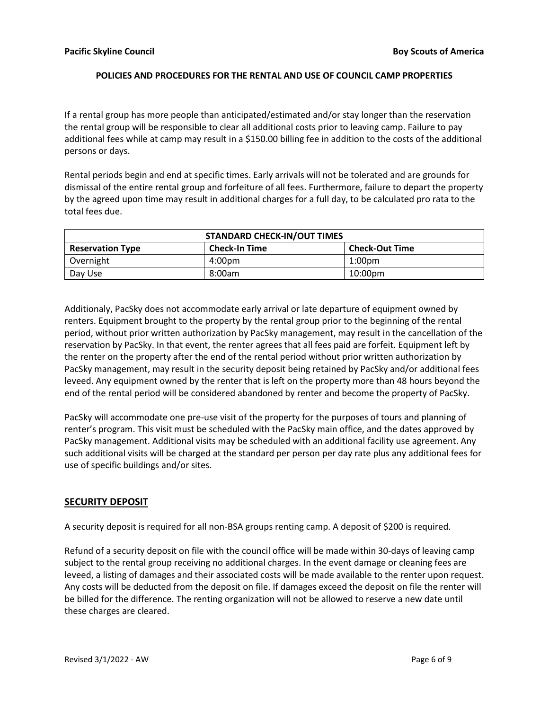If a rental group has more people than anticipated/estimated and/or stay longer than the reservation the rental group will be responsible to clear all additional costs prior to leaving camp. Failure to pay additional fees while at camp may result in a \$150.00 billing fee in addition to the costs of the additional persons or days.

Rental periods begin and end at specific times. Early arrivals will not be tolerated and are grounds for dismissal of the entire rental group and forfeiture of all fees. Furthermore, failure to depart the property by the agreed upon time may result in additional charges for a full day, to be calculated pro rata to the total fees due.

| <b>STANDARD CHECK-IN/OUT TIMES</b> |                      |                       |
|------------------------------------|----------------------|-----------------------|
| <b>Reservation Type</b>            | <b>Check-In Time</b> | <b>Check-Out Time</b> |
| Overnight                          | 4:00pm               | $1:00$ pm             |
| Day Use                            | 8:00am               | 10:00pm               |

Additionaly, PacSky does not accommodate early arrival or late departure of equipment owned by renters. Equipment brought to the property by the rental group prior to the beginning of the rental period, without prior written authorization by PacSky management, may result in the cancellation of the reservation by PacSky. In that event, the renter agrees that all fees paid are forfeit. Equipment left by the renter on the property after the end of the rental period without prior written authorization by PacSky management, may result in the security deposit being retained by PacSky and/or additional fees leveed. Any equipment owned by the renter that is left on the property more than 48 hours beyond the end of the rental period will be considered abandoned by renter and become the property of PacSky.

PacSky will accommodate one pre-use visit of the property for the purposes of tours and planning of renter's program. This visit must be scheduled with the PacSky main office, and the dates approved by PacSky management. Additional visits may be scheduled with an additional facility use agreement. Any such additional visits will be charged at the standard per person per day rate plus any additional fees for use of specific buildings and/or sites.

# **SECURITY DEPOSIT**

A security deposit is required for all non-BSA groups renting camp. A deposit of \$200 is required.

Refund of a security deposit on file with the council office will be made within 30-days of leaving camp subject to the rental group receiving no additional charges. In the event damage or cleaning fees are leveed, a listing of damages and their associated costs will be made available to the renter upon request. Any costs will be deducted from the deposit on file. If damages exceed the deposit on file the renter will be billed for the difference. The renting organization will not be allowed to reserve a new date until these charges are cleared.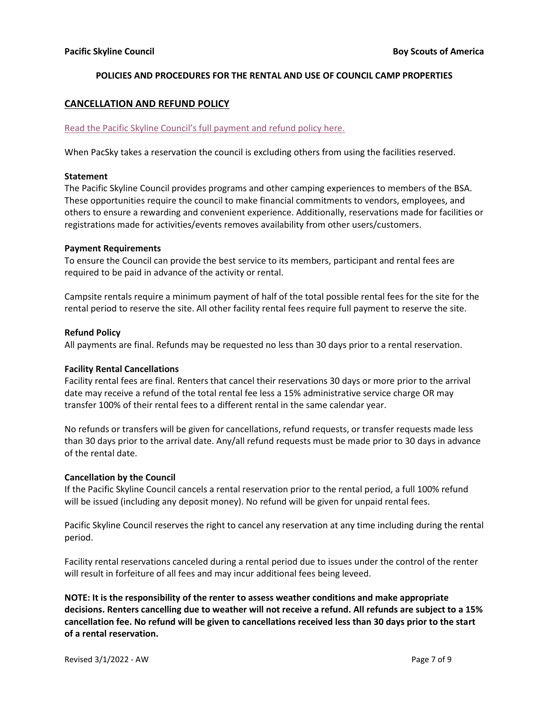# **CANCELLATION AND REFUND POLICY**

#### [Read the Pacific Skyline Council's full payment and refund policy here.](https://pacsky.org/payment-refund-policies/)

When PacSky takes a reservation the council is excluding others from using the facilities reserved.

#### **Statement**

The Pacific Skyline Council provides programs and other camping experiences to members of the BSA. These opportunities require the council to make financial commitments to vendors, employees, and others to ensure a rewarding and convenient experience. Additionally, reservations made for facilities or registrations made for activities/events removes availability from other users/customers.

#### **Payment Requirements**

To ensure the Council can provide the best service to its members, participant and rental fees are required to be paid in advance of the activity or rental.

Campsite rentals require a minimum payment of half of the total possible rental fees for the site for the rental period to reserve the site. All other facility rental fees require full payment to reserve the site.

#### **Refund Policy**

All payments are final. Refunds may be requested no less than 30 days prior to a rental reservation.

#### **Facility Rental Cancellations**

Facility rental fees are final. Renters that cancel their reservations 30 days or more prior to the arrival date may receive a refund of the total rental fee less a 15% administrative service charge OR may transfer 100% of their rental fees to a different rental in the same calendar year.

No refunds or transfers will be given for cancellations, refund requests, or transfer requests made less than 30 days prior to the arrival date. Any/all refund requests must be made prior to 30 days in advance of the rental date.

#### **Cancellation by the Council**

If the Pacific Skyline Council cancels a rental reservation prior to the rental period, a full 100% refund will be issued (including any deposit money). No refund will be given for unpaid rental fees.

Pacific Skyline Council reserves the right to cancel any reservation at any time including during the rental period.

Facility rental reservations canceled during a rental period due to issues under the control of the renter will result in forfeiture of all fees and may incur additional fees being leveed.

**NOTE: It is the responsibility of the renter to assess weather conditions and make appropriate decisions. Renters cancelling due to weather will not receive a refund. All refunds are subject to a 15% cancellation fee. No refund will be given to cancellations received less than 30 days prior to the start of a rental reservation.**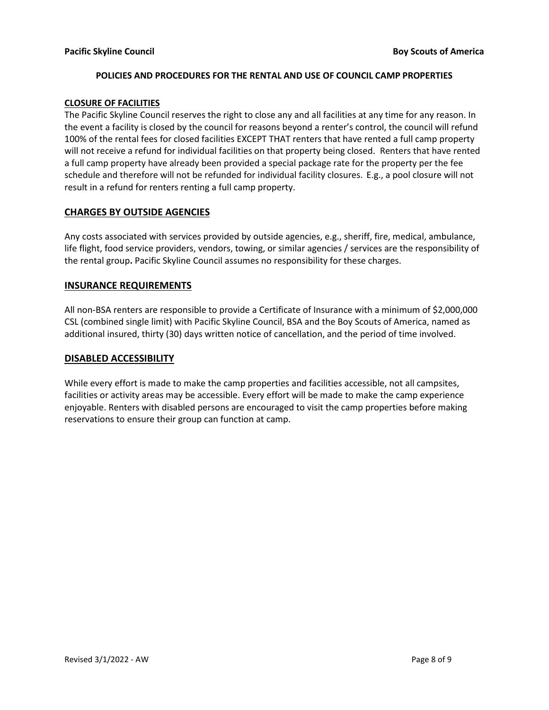#### **CLOSURE OF FACILITIES**

The Pacific Skyline Council reserves the right to close any and all facilities at any time for any reason. In the event a facility is closed by the council for reasons beyond a renter's control, the council will refund 100% of the rental fees for closed facilities EXCEPT THAT renters that have rented a full camp property will not receive a refund for individual facilities on that property being closed. Renters that have rented a full camp property have already been provided a special package rate for the property per the fee schedule and therefore will not be refunded for individual facility closures. E.g., a pool closure will not result in a refund for renters renting a full camp property.

# **CHARGES BY OUTSIDE AGENCIES**

Any costs associated with services provided by outside agencies, e.g., sheriff, fire, medical, ambulance, life flight, food service providers, vendors, towing, or similar agencies / services are the responsibility of the rental group**.** Pacific Skyline Council assumes no responsibility for these charges.

# **INSURANCE REQUIREMENTS**

All non-BSA renters are responsible to provide a Certificate of Insurance with a minimum of \$2,000,000 CSL (combined single limit) with Pacific Skyline Council, BSA and the Boy Scouts of America, named as additional insured, thirty (30) days written notice of cancellation, and the period of time involved.

# **DISABLED ACCESSIBILITY**

While every effort is made to make the camp properties and facilities accessible, not all campsites, facilities or activity areas may be accessible. Every effort will be made to make the camp experience enjoyable. Renters with disabled persons are encouraged to visit the camp properties before making reservations to ensure their group can function at camp.